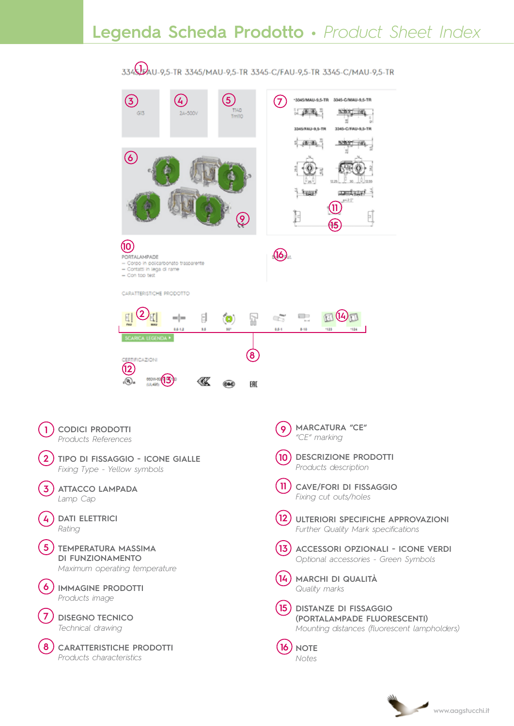# **Legenda Scheda Prodotto •** *Product Sheet Index*



**1**

**2**

**3**

**4**

**5**

**6**

**7**

**8**

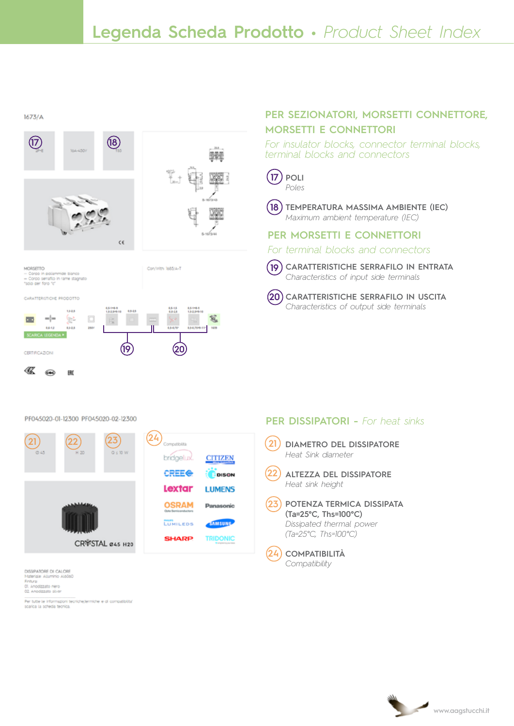

## **per SEZIONATORI, MORSETTI CONNETTORE, MORSETTI E CONNETTORI**

*For insulator blocks, connector terminal blocks, terminal blocks and connectors*



*Poles*



**Temperatura massima ambiente (IEC) 18** *Maximum ambient temperature (IEC)*

### **per MORSETTI E CONNETTORI**

*For terminal blocks and connectors*

**Caratteristiche serrafilo in entrata** *Characteristics of input side terminals* **19**



PF045020-01-12300 PF045020-02-12300



DISSIPATORE DI CALORE Materiale Alluminio AI6060<br>Finitural<br>01. Anodizzato nero<br>02. Anodizzato silver

Per tutte le informazioni tecniche,termiche e di compatibilità"<br>scarica la scheda tecnica.

### **per DISSIPATORI -** *For heat sinks*

- **DIAMETRO del dissipatore** *Heat Sink diameter* **21**
- **ALTEZZA DEl dissipatore** *Heat sink height* **22**
- **POTENZA TERMICA DISSIPATA (Ta=25°C, Ths=100°C)** *Dissipated thermal power (Ta=25°C, Ths=100°C)* **23**



**Compatibilità** *Compatibility*

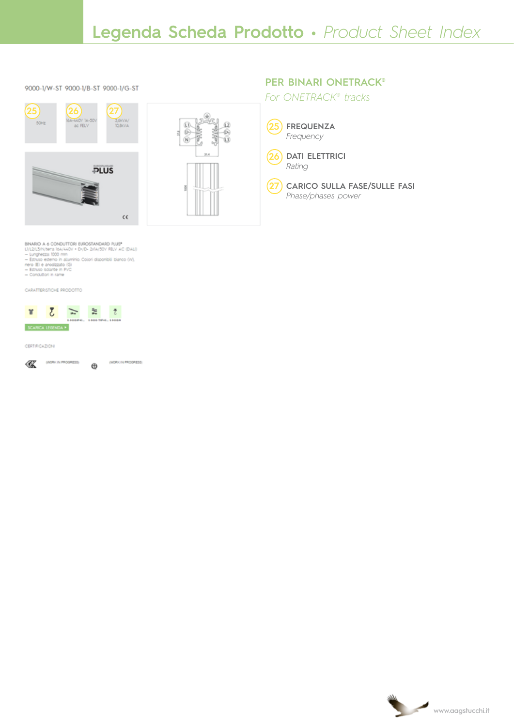### 9000-1/W-ST 9000-1/B-ST 9000-1/G-ST





### **per BINARI ONETRACK®**

*For ONETRACK® tracks*



**Dati elettrici** *Rating* **26**



BINARIO A 6 CONDUTTORI EUROSTANDARD PLUS\*<br>U/L2/L3/N/tera (sa/cc0v + D-/D- 2xIA/50v FELV AC (DAL))<br>— Europezza: I000 mm<br>— Estruo esterno in alluminio, Colori disponibili bianco (W),<br>neco (B) e anodizate in PVC<br>— Estruo loda

- 
- 
- 

CARATTERISTICHE PRODOTTO



### **CERTIFICAZIONI**